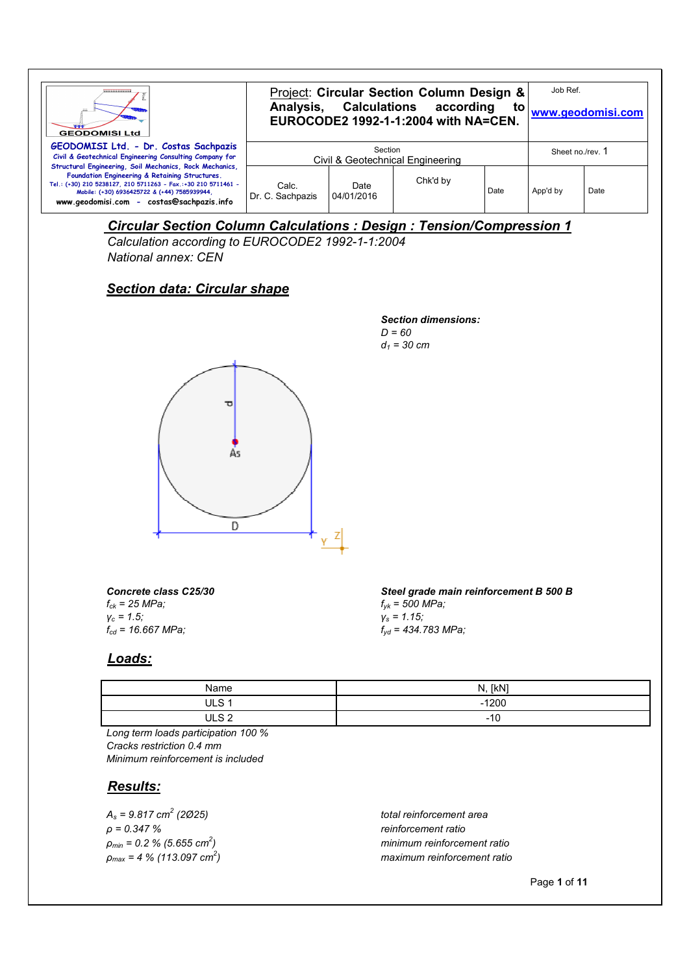| ,,,,,,,,,,,,,,<br><b>GEODOMISI Ltd</b>                                                                                                                                                                                                                                  | Project: Circular Section Column Design &<br>Analysis, Calculations according<br>to<br>EUROCODE2 1992-1-1:2004 with NA=CEN. |                    |          |      | Job Ref.<br>www.geodomisi.com |      |
|-------------------------------------------------------------------------------------------------------------------------------------------------------------------------------------------------------------------------------------------------------------------------|-----------------------------------------------------------------------------------------------------------------------------|--------------------|----------|------|-------------------------------|------|
| GEODOMISI Ltd. - Dr. Costas Sachpazis<br>Civil & Geotechnical Engineering Consulting Company for                                                                                                                                                                        | Section<br>Civil & Geotechnical Engineering                                                                                 |                    |          |      | Sheet no./rev. 1              |      |
| Structural Engineering, Soil Mechanics, Rock Mechanics,<br>Foundation Engineering & Retaining Structures.<br>Tel.: (+30) 210 5238127, 210 5711263 - Fax.:+30 210 5711461 -<br>Mobile: (+30) 6936425722 & (+44) 7585939944.<br>www.geodomisi.com - costas@sachpazis.info | Calc.<br>Dr. C. Sachpazis                                                                                                   | Date<br>04/01/2016 | Chk'd by | Date | App'd by                      | Date |

## *Circular Section Column Calculations : Design : Tension/Compression 1*

*Calculation according to EUROCODE2 1992-1-1:2004 National annex: CEN*

### *Section data: Circular shape*

*Section dimensions: D = 60 d1 = 30 cm*



*Concrete class C25/30 fck = 25 MPa; γc = 1.5; fcd = 16.667 MPa;*

*Steel grade main reinforcement B 500 B fyk = 500 MPa; γs = 1.15; fyd = 434.783 MPa;*

#### *Loads:*

| Name         | [kN]<br>N<br>. |
|--------------|----------------|
| ULS 1        | $-1200$        |
| IIIS2<br>∼ ب | 10<br>-16      |

*Long term loads participation 100 % Cracks restriction 0.4 mm Minimum reinforcement is included*

#### *Results:*

*As = 9.817 cm<sup>2</sup> ρ = 0.347 % reinforcement ratio ρmin = 0.2 % (5.655 cm<sup>2</sup> ρmax = 4 % (113.097 cm<sup>2</sup>*

 *(2Ø25) total reinforcement area ) minimum reinforcement ratio ) maximum reinforcement ratio*

Page **1** of **11**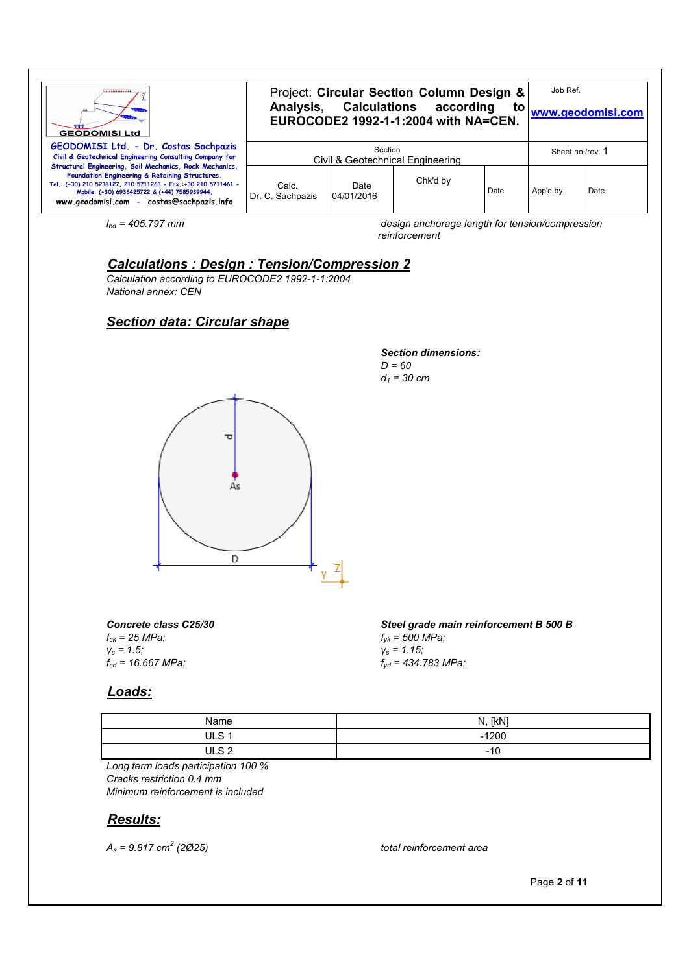| <b>WARRANTSHARRANT</b><br><b>GEODOMISI Ltd</b>                                                                                                                                                                                                                          | Project: Circular Section Column Design &<br>Analysis, Calculations according<br>to<br>EUROCODE2 1992-1-1:2004 with NA=CEN. |                    |          |      | Job Ref.<br>www.geodomisi.com |      |
|-------------------------------------------------------------------------------------------------------------------------------------------------------------------------------------------------------------------------------------------------------------------------|-----------------------------------------------------------------------------------------------------------------------------|--------------------|----------|------|-------------------------------|------|
| GEODOMISI Ltd. - Dr. Costas Sachpazis<br>Civil & Geotechnical Engineering Consulting Company for                                                                                                                                                                        | Section<br>Civil & Geotechnical Engineering                                                                                 |                    |          |      | Sheet no./rev. 1              |      |
| Structural Engineering, Soil Mechanics, Rock Mechanics,<br>Foundation Engineering & Retaining Structures.<br>Tel.: (+30) 210 5238127, 210 5711263 - Fax.:+30 210 5711461 -<br>Mobile: (+30) 6936425722 & (+44) 7585939944,<br>www.geodomisi.com - costas@sachpazis.info | Calc.<br>Dr. C. Sachpazis                                                                                                   | Date<br>04/01/2016 | Chk'd by | Date | App'd by                      | Date |

*lbd = 405.797 mm design anchorage length for tension/compression reinforcement*

## *Calculations : Design : Tension/Compression 2*

*Calculation according to EUROCODE2 1992-1-1:2004 National annex: CEN*

## *Section data: Circular shape*

#### *Section dimensions: D = 60 d1 = 30 cm*



*Concrete class C25/30 fck = 25 MPa; γc = 1.5; fcd = 16.667 MPa;*

#### *Loads:*

| Name             | [kN]<br>N. |
|------------------|------------|
| ULS <sub>1</sub> | $-1200$    |
| II 9             | ا - ا -    |

*fyk = 500 MPa; γs = 1.15;*

*fyd = 434.783 MPa;*

*Long term loads participation 100 % Cracks restriction 0.4 mm Minimum reinforcement is included*

#### *Results:*

*As = 9.817 cm<sup>2</sup>*

 *(2Ø25) total reinforcement area*

*Steel grade main reinforcement B 500 B*

Page **2** of **11**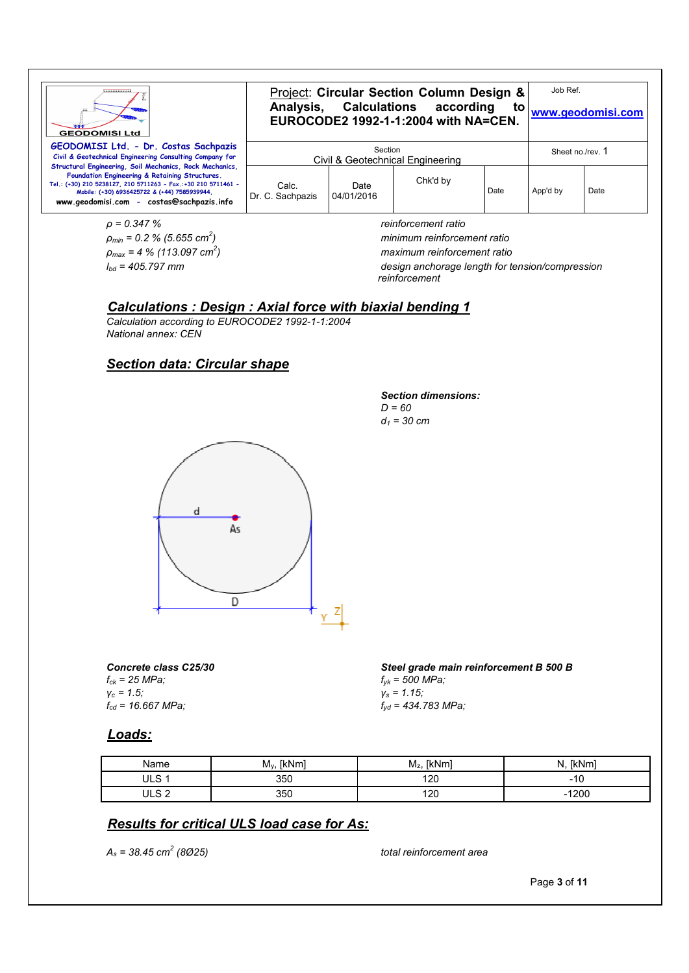| ,,,,,,,,,,,,,,,,<br><b>GEODOMISI Ltd</b>                                                                                                                                                                     | Project: Circular Section Column Design &<br>Analysis, Calculations according<br>to<br>EUROCODE2 1992-1-1:2004 with NA=CEN. |                    |                     |      | Job Ref.<br>www.geodomisi.com |      |
|--------------------------------------------------------------------------------------------------------------------------------------------------------------------------------------------------------------|-----------------------------------------------------------------------------------------------------------------------------|--------------------|---------------------|------|-------------------------------|------|
| GEODOMISI Ltd. - Dr. Costas Sachpazis<br>Civil & Geotechnical Engineering Consulting Company for<br>Structural Engineering, Soil Mechanics, Rock Mechanics,                                                  | Section<br>Civil & Geotechnical Engineering                                                                                 |                    |                     |      | Sheet no./rev. 1              |      |
| Foundation Engineering & Retaining Structures.<br>Tel.: (+30) 210 5238127, 210 5711263 - Fax,:+30 210 5711461 -<br>Mobile: (+30) 6936425722 & (+44) 7585939944.<br>www.geodomisi.com - costas@sachpazis.info | Calc.<br>Dr. C. Sachpazis                                                                                                   | Date<br>04/01/2016 | Chk'd by            | Date | App'd by                      | Date |
| $\rho = 0.347 \%$                                                                                                                                                                                            |                                                                                                                             |                    | reinforcement ratio |      |                               |      |

*ρmin = 0.2 % (5.655 cm<sup>2</sup> ρmax = 4 % (113.097 cm<sup>2</sup>*

*Section dimensions:*

*D = 60 d1 = 30 cm*

*) minimum reinforcement ratio*

*) maximum reinforcement ratio*

*lbd = 405.797 mm design anchorage length for tension/compression reinforcement*

# *Calculations : Design : Axial force with biaxial bending 1*

*Calculation according to EUROCODE2 1992-1-1:2004 National annex: CEN*

#### *Section data: Circular shape*



*Concrete class C25/30 fck = 25 MPa; γc = 1.5; fcd = 16.667 MPa;*

*Steel grade main reinforcement B 500 B fyk = 500 MPa; γs = 1.15; fyd = 434.783 MPa;*

#### *Loads:*

| Name          | [kNm]<br>$M_v$ | [kNm<br>. .<br>$M_z$ | [kNm]<br>N |
|---------------|----------------|----------------------|------------|
| $\sim$<br>◡∟◡ | 350            | 120                  | -<br>៲៶    |
| ה הוו         | 350            | 120                  | 1200<br>-  |

## *Results for critical ULS load case for As:*

*As = 38.45 cm<sup>2</sup>*

 *(8Ø25) total reinforcement area*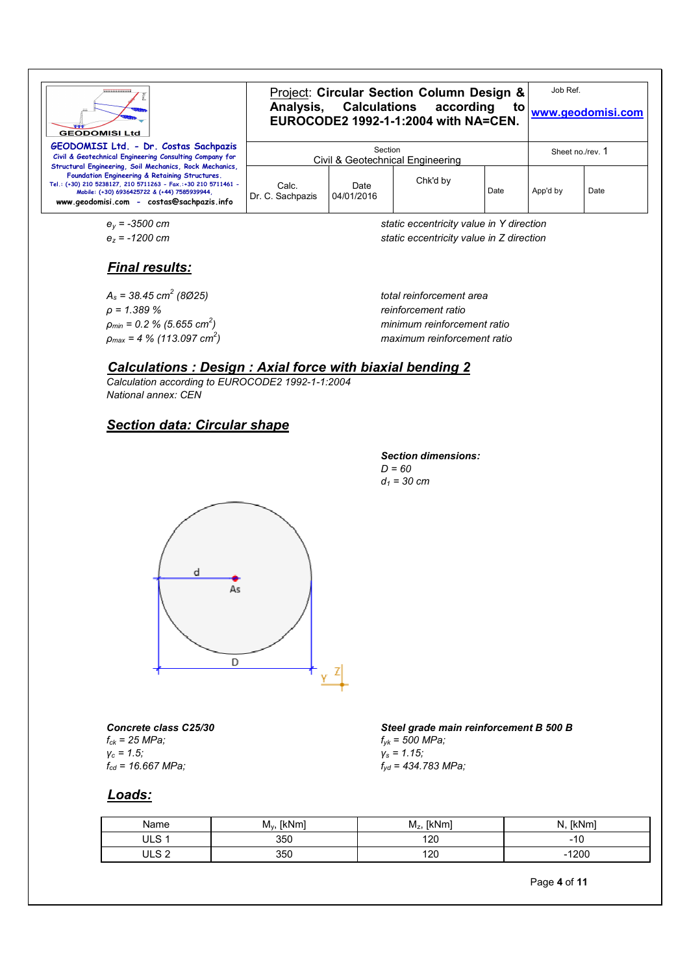| <br><b>GEODOMISI Ltd</b>                                                                                                                                                                                                                                                | Project: Circular Section Column Design &<br>Analysis, Calculations according<br>EUROCODE2 1992-1-1:2004 with NA=CEN. |                    |          |      | Job Ref.<br>to<br>www.geodomisi.com |      |
|-------------------------------------------------------------------------------------------------------------------------------------------------------------------------------------------------------------------------------------------------------------------------|-----------------------------------------------------------------------------------------------------------------------|--------------------|----------|------|-------------------------------------|------|
| GEODOMISI Ltd. - Dr. Costas Sachpazis<br>Civil & Geotechnical Engineering Consulting Company for                                                                                                                                                                        | Section<br>Civil & Geotechnical Engineering                                                                           |                    |          |      | Sheet no./rev. 1                    |      |
| Structural Engineering, Soil Mechanics, Rock Mechanics,<br>Foundation Engineering & Retaining Structures.<br>Tel.: (+30) 210 5238127, 210 5711263 - Fax.:+30 210 5711461 -<br>Mobile: (+30) 6936425722 & (+44) 7585939944,<br>www.geodomisi.com - costas@sachpazis.info | Calc.<br>Dr. C. Sachpazis                                                                                             | Date<br>04/01/2016 | Chk'd by | Date | App'd by                            | Date |

$$
\mathsf{e}_y = -3500 \text{ cm}
$$

*ey = -3500 cm static eccentricity value in Y direction ez = -1200 cm static eccentricity value in Z direction*

## *Final results:*

*As = 38.45 cm<sup>2</sup> ρ = 1.389 % reinforcement ratio ρmin = 0.2 % (5.655 cm<sup>2</sup> ρmax = 4 % (113.097 cm<sup>2</sup>*

 *(8Ø25) total reinforcement area ) minimum reinforcement ratio ) maximum reinforcement ratio*

#### *Calculations : Design : Axial force with biaxial bending 2*

*Calculation according to EUROCODE2 1992-1-1:2004 National annex: CEN*

## *Section data: Circular shape*

*Section dimensions: D = 60 d1 = 30 cm*



*Concrete class C25/30 fck = 25 MPa; γc = 1.5; fcd = 16.667 MPa;*

*Steel grade main reinforcement B 500 B fyk = 500 MPa; γs = 1.15; fyd = 434.783 MPa;*

#### *Loads:*

| Name  | [kNm]<br>$M_v$ | [kNm]<br>$M_z$ | N.<br>'kNmi      |
|-------|----------------|----------------|------------------|
| ULS   | 350            | 120            | .<br>טו          |
| ULS 2 | 350            | 120            | 1200<br>$\sim$ 1 |

Page **4** of **11**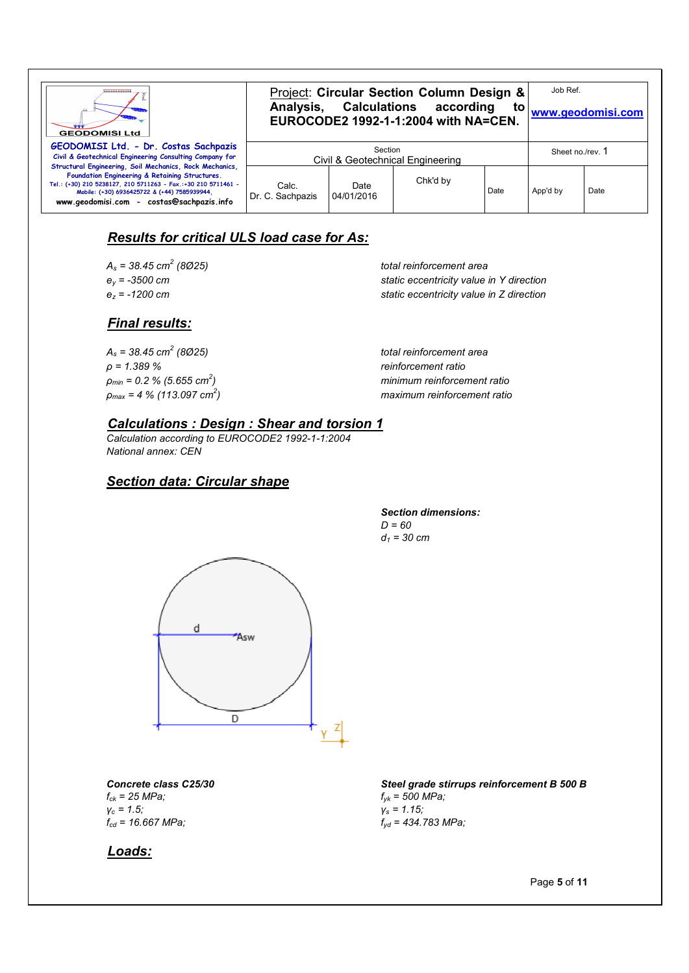| ,,,,,,,,,,,,,,,<br><b>GEODOMISI Ltd</b>                                                                                                                                                                                                                                 | Project: Circular Section Column Design &<br>Analysis, Calculations according<br>to<br>EUROCODE2 1992-1-1:2004 with NA=CEN. |                    |          |      | Job Ref.<br>www.geodomisi.com |      |
|-------------------------------------------------------------------------------------------------------------------------------------------------------------------------------------------------------------------------------------------------------------------------|-----------------------------------------------------------------------------------------------------------------------------|--------------------|----------|------|-------------------------------|------|
| GEODOMISI Ltd. - Dr. Costas Sachpazis<br>Civil & Geotechnical Engineering Consulting Company for                                                                                                                                                                        | Section<br>Civil & Geotechnical Engineering                                                                                 |                    |          |      | Sheet no./rev. 1              |      |
| Structural Engineering, Soil Mechanics, Rock Mechanics,<br>Foundation Engineering & Retaining Structures.<br>Tel.: (+30) 210 5238127, 210 5711263 - Fax.:+30 210 5711461 -<br>Mobile: (+30) 6936425722 & (+44) 7585939944,<br>www.geodomisi.com - costas@sachpazis.info | Calc.<br>Dr. C. Sachpazis                                                                                                   | Date<br>04/01/2016 | Chk'd by | Date | App'd by                      | Date |

## *Results for critical ULS load case for As:*

*As = 38.45 cm<sup>2</sup>*

 *(8Ø25) total reinforcement area ey = -3500 cm static eccentricity value in Y direction ez = -1200 cm static eccentricity value in Z direction*

*Final results:*

*As = 38.45 cm<sup>2</sup> ρ = 1.389 % reinforcement ratio ρmin = 0.2 % (5.655 cm<sup>2</sup> ρmax = 4 % (113.097 cm<sup>2</sup>*

 *(8Ø25) total reinforcement area ) minimum reinforcement ratio ) maximum reinforcement ratio*

#### *Calculations : Design : Shear and torsion 1*

*Calculation according to EUROCODE2 1992-1-1:2004 National annex: CEN*

#### *Section data: Circular shape*

#### *Section dimensions: D = 60 d1 = 30 cm*



*Concrete class C25/30 fck = 25 MPa; γc = 1.5; fcd = 16.667 MPa;*

*Steel grade stirrups reinforcement B 500 B fyk = 500 MPa; γs = 1.15; fyd = 434.783 MPa;*

#### *Loads:*

Page **5** of **11**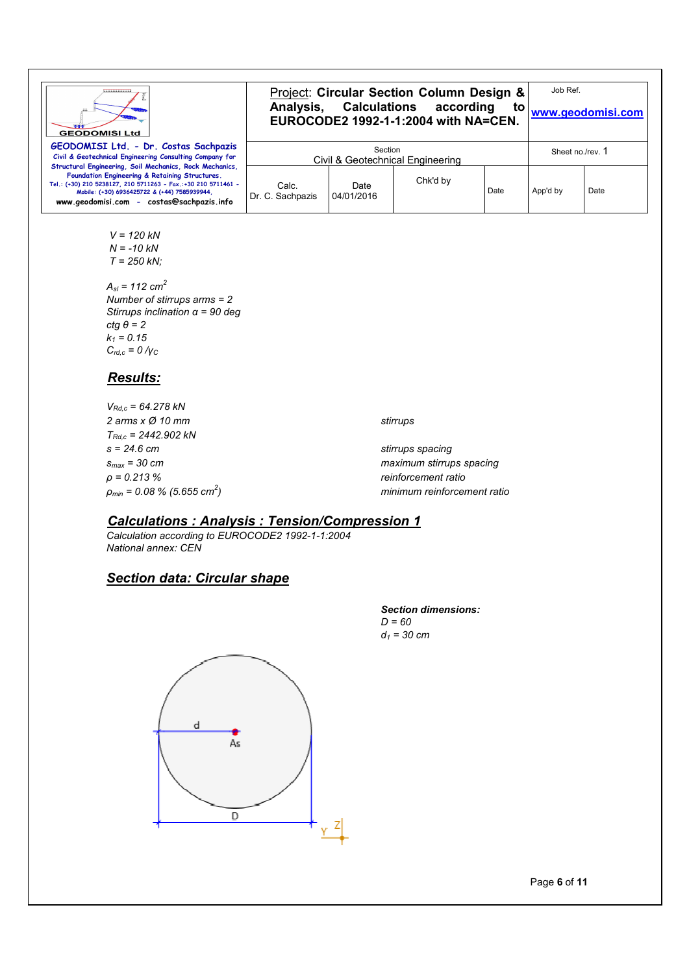

$$
V = 120 \, kN N = -10 \, kN T = 250 \, kN;
$$

 *Asl = 112 cm<sup>2</sup> Number of stirrups arms = 2 Stirrups inclination α = 90 deg ctg θ = 2 k1 = 0.15 Crd,c = 0 /γ<sup>C</sup>*

#### *Results:*

| $V_{Rd.c}$ = 64.278 kN                         |                             |
|------------------------------------------------|-----------------------------|
| 2 arms x Ø 10 mm                               | stirrups                    |
| $T_{Rdc}$ = 2442.902 kN                        |                             |
| $s = 24.6 \, \text{cm}$                        | stirrups spacing            |
| $S_{max}$ = 30 cm                              | maximum stirrups spacing    |
| p = 0.213 %                                    | reinforcement ratio         |
| $\rho_{min}$ = 0.08 % (5.655 cm <sup>2</sup> ) | minimum reinforcement ratio |
|                                                |                             |

#### *Calculations : Analysis : Tension/Compression 1*

*Calculation according to EUROCODE2 1992-1-1:2004 National annex: CEN*

#### *Section data: Circular shape*





Page **6** of **11**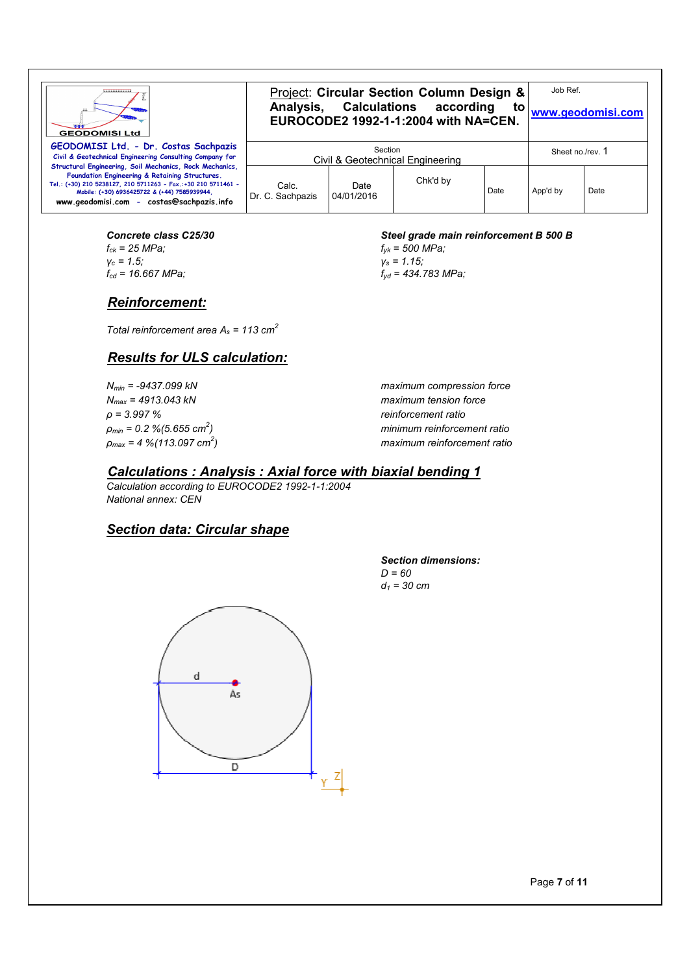| ,,,,,,,,,,,,,,,,<br><b>GEODOMISI Ltd</b>                                                                                                                                                                                                                                | Project: Circular Section Column Design &<br>Analysis, Calculations according<br>to<br>EUROCODE2 1992-1-1:2004 with NA=CEN. |                    |          |      |                  | Job Ref.<br>www.geodomisi.com |  |
|-------------------------------------------------------------------------------------------------------------------------------------------------------------------------------------------------------------------------------------------------------------------------|-----------------------------------------------------------------------------------------------------------------------------|--------------------|----------|------|------------------|-------------------------------|--|
| GEODOMISI Ltd. - Dr. Costas Sachpazis<br>Civil & Geotechnical Engineering Consulting Company for                                                                                                                                                                        | Section<br>Civil & Geotechnical Engineering                                                                                 |                    |          |      | Sheet no./rev. 1 |                               |  |
| Structural Engineering, Soil Mechanics, Rock Mechanics,<br>Foundation Engineering & Retaining Structures.<br>Tel.: (+30) 210 5238127, 210 5711263 - Fax,:+30 210 5711461 -<br>Mobile: (+30) 6936425722 & (+44) 7585939944,<br>www.geodomisi.com - costas@sachpazis.info | Calc.<br>Dr. C. Sachpazis                                                                                                   | Date<br>04/01/2016 | Chk'd by | Date | App'd by         | Date                          |  |

#### *Concrete class C25/30 fck = 25 MPa; γc = 1.5; fcd = 16.667 MPa;*

#### *Reinforcement:*

*Total reinforcement area As = 113 cm<sup>2</sup>*

## *Results for ULS calculation:*

*Nmax = 4913.043 kN maximum tension force ρ = 3.997 % reinforcement ratio ρmin = 0.2 %(5.655 cm<sup>2</sup> ρmax = 4 %(113.097 cm<sup>2</sup>*

#### *Steel grade main reinforcement B 500 B*

*fyk = 500 MPa; γs = 1.15; fyd = 434.783 MPa;*

*Nmin = -9437.099 kN maximum compression force ) minimum reinforcement ratio ) maximum reinforcement ratio*

### *Calculations : Analysis : Axial force with biaxial bending 1*

*Calculation according to EUROCODE2 1992-1-1:2004 National annex: CEN*

#### *Section data: Circular shape*



#### *Section dimensions: D = 60 d1 = 30 cm*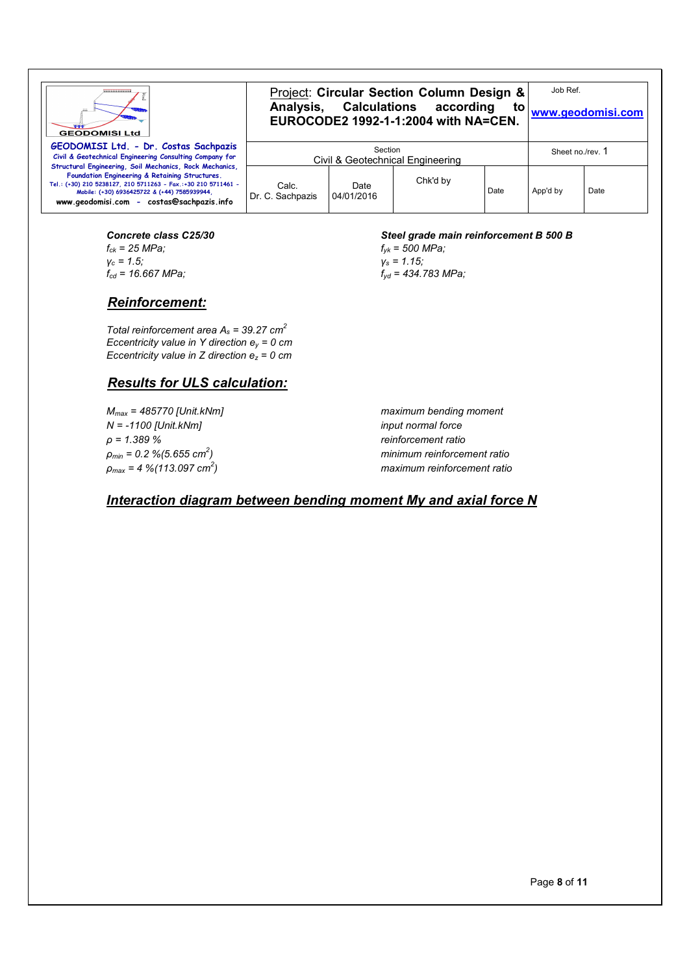| ,,,,,,,,,,,,,,,,<br><b>GEODOMISI Ltd</b>                                                                                                                                                                                                                                | Project: Circular Section Column Design &<br>Analysis, Calculations according<br>to<br>EUROCODE2 1992-1-1:2004 with NA=CEN. |                    |          |                  | Job Ref.<br>www.geodomisi.com |      |
|-------------------------------------------------------------------------------------------------------------------------------------------------------------------------------------------------------------------------------------------------------------------------|-----------------------------------------------------------------------------------------------------------------------------|--------------------|----------|------------------|-------------------------------|------|
| GEODOMISI Ltd. - Dr. Costas Sachpazis<br>Civil & Geotechnical Engineering Consulting Company for                                                                                                                                                                        | Section<br>Civil & Geotechnical Engineering                                                                                 |                    |          | Sheet no./rev. 1 |                               |      |
| Structural Engineering, Soil Mechanics, Rock Mechanics,<br>Foundation Engineering & Retaining Structures.<br>Tel.: (+30) 210 5238127, 210 5711263 - Fax.:+30 210 5711461 -<br>Mobile: (+30) 6936425722 & (+44) 7585939944.<br>www.geodomisi.com - costas@sachpazis.info | Calc.<br>Dr. C. Sachpazis                                                                                                   | Date<br>04/01/2016 | Chk'd by | Date             | App'd by                      | Date |

#### *Concrete class C25/30 fck = 25 MPa; γc = 1.5;*  $f_{cd}$  = 16.667 MPa;

#### *Reinforcement:*

*Total reinforcement area As = 39.27 cm<sup>2</sup> Eccentricity value in Y direction ey = 0 cm Eccentricity value in Z direction ez = 0 cm*

## *Results for ULS calculation:*

*N = -1100 [Unit.kNm] input normal force ρ = 1.389 % reinforcement ratio ρmin = 0.2 %(5.655 cm<sup>2</sup> ρmax = 4 %(113.097 cm<sup>2</sup>*

#### *Steel grade main reinforcement B 500 B*

*fyk = 500 MPa; γs = 1.15; fyd = 434.783 MPa;*

*Mmax = 485770 [Unit.kNm] maximum bending moment ) minimum reinforcement ratio ) maximum reinforcement ratio*

## *Interaction diagram between bending moment My and axial force N*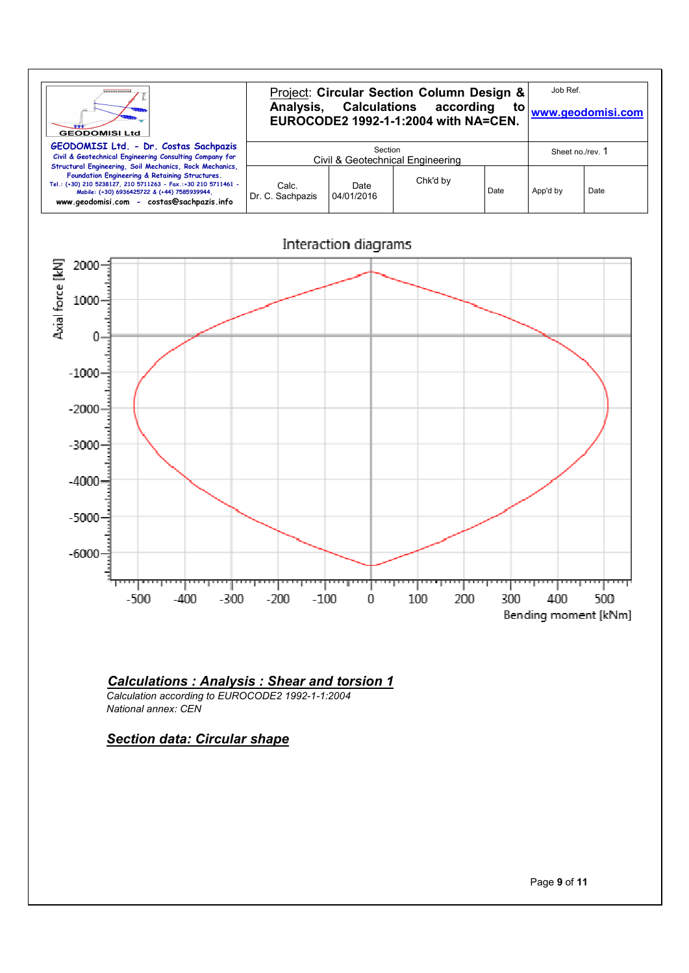



#### *Calculations : Analysis : Shear and torsion 1*

*Calculation according to EUROCODE2 1992-1-1:2004 National annex: CEN*

#### *Section data: Circular shape*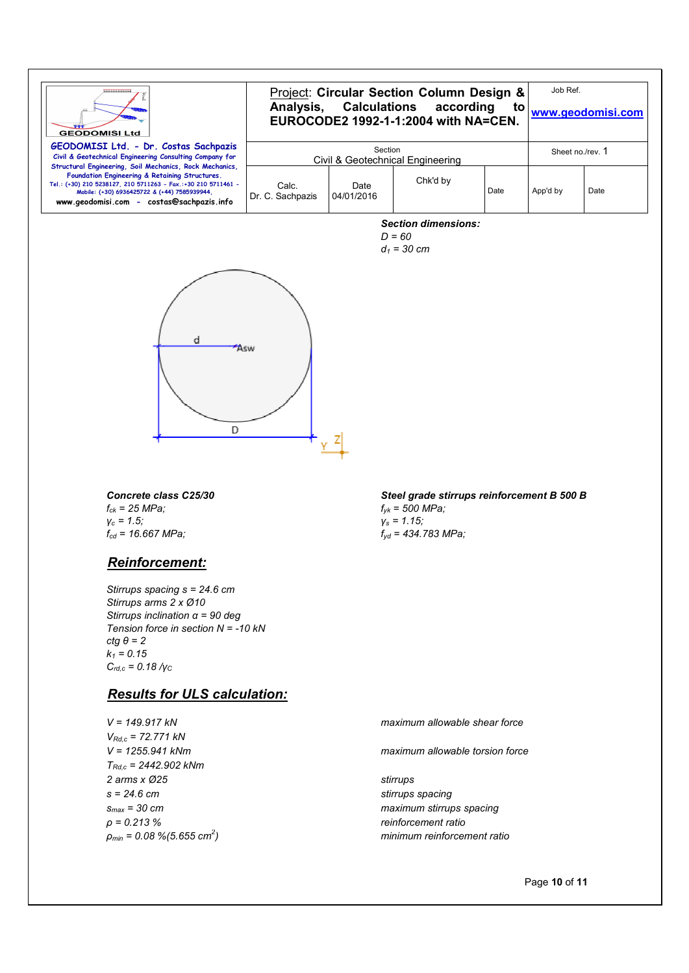| ,,,,,,,,,,,,,,,,<br><b>GEODOMISI Ltd</b>                                                                                                                                                                     | Project: Circular Section Column Design &<br>Analysis, Calculations according<br>to<br>EUROCODE2 1992-1-1:2004 with NA=CEN. |                    |          |      | Job Ref.<br>www.geodomisi.com |      |
|--------------------------------------------------------------------------------------------------------------------------------------------------------------------------------------------------------------|-----------------------------------------------------------------------------------------------------------------------------|--------------------|----------|------|-------------------------------|------|
| GEODOMISI Ltd. - Dr. Costas Sachpazis<br>Civil & Geotechnical Engineering Consulting Company for<br>Structural Engineering, Soil Mechanics, Rock Mechanics,                                                  | Section<br>Civil & Geotechnical Engineering                                                                                 |                    |          |      | Sheet no./rev. 1              |      |
| Foundation Engineering & Retaining Structures.<br>Tel.: (+30) 210 5238127, 210 5711263 - Fax.:+30 210 5711461 -<br>Mobile: (+30) 6936425722 & (+44) 7585939944,<br>www.geodomisi.com - costas@sachpazis.info | Calc.<br>Dr. C. Sachpazis                                                                                                   | Date<br>04/01/2016 | Chk'd by | Date | App'd by                      | Date |

*Section dimensions:*

*D = 60 d1 = 30 cm*



*Concrete class C25/30 fck = 25 MPa; γc = 1.5; fcd = 16.667 MPa;*

#### *Reinforcement:*

*Stirrups spacing s = 24.6 cm Stirrups arms 2 x Ø10 Stirrups inclination α = 90 deg Tension force in section N = -10 kN ctg θ = 2*  $k_1 = 0.15$ *Crd,c = 0.18 /γ<sup>C</sup>*

#### *Results for ULS calculation:*

*VRd,c = 72.771 kN TRd,c = 2442.902 kNm 2 arms x Ø25 stirrups s = 24.6 cm stirrups spacing ρ = 0.213 % reinforcement ratio ρmin = 0.08 %(5.655 cm<sup>2</sup>*

*Steel grade stirrups reinforcement B 500 B fyk = 500 MPa; γs = 1.15; fyd = 434.783 MPa;*

*V = 149.917 kN maximum allowable shear force*

*V = 1255.941 kNm maximum allowable torsion force*

*smax = 30 cm maximum stirrups spacing ) minimum reinforcement ratio*

Page **10** of **11**